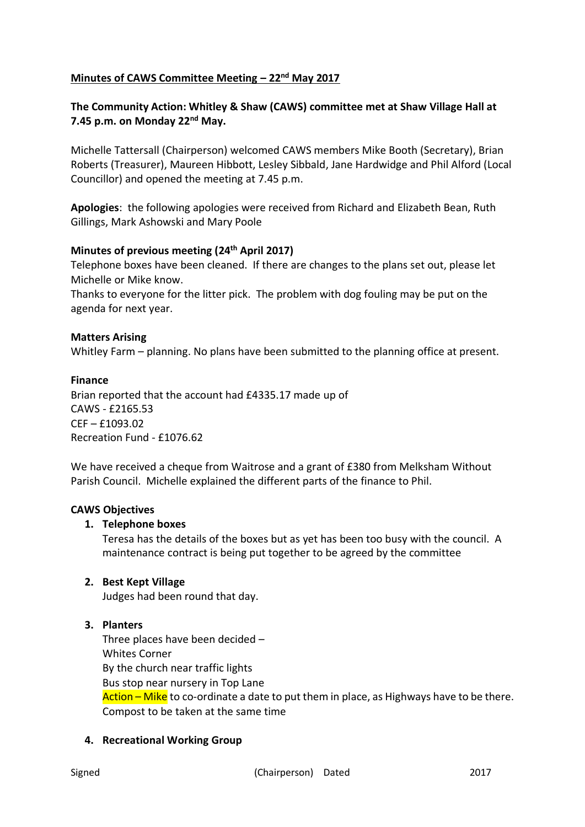# **Minutes of CAWS Committee Meeting – 22nd May 2017**

# **The Community Action: Whitley & Shaw (CAWS) committee met at Shaw Village Hall at 7.45 p.m. on Monday 22nd May.**

Michelle Tattersall (Chairperson) welcomed CAWS members Mike Booth (Secretary), Brian Roberts (Treasurer), Maureen Hibbott, Lesley Sibbald, Jane Hardwidge and Phil Alford (Local Councillor) and opened the meeting at 7.45 p.m.

**Apologies**: the following apologies were received from Richard and Elizabeth Bean, Ruth Gillings, Mark Ashowski and Mary Poole

### **Minutes of previous meeting (24th April 2017)**

Telephone boxes have been cleaned. If there are changes to the plans set out, please let Michelle or Mike know.

Thanks to everyone for the litter pick. The problem with dog fouling may be put on the agenda for next year.

### **Matters Arising**

Whitley Farm – planning. No plans have been submitted to the planning office at present.

### **Finance**

Brian reported that the account had £4335.17 made up of CAWS - £2165.53 CEF – £1093.02 Recreation Fund - £1076.62

We have received a cheque from Waitrose and a grant of £380 from Melksham Without Parish Council. Michelle explained the different parts of the finance to Phil.

### **CAWS Objectives**

### **1. Telephone boxes**

Teresa has the details of the boxes but as yet has been too busy with the council. A maintenance contract is being put together to be agreed by the committee

# **2. Best Kept Village**

Judges had been round that day.

# **3. Planters**

Three places have been decided – Whites Corner By the church near traffic lights Bus stop near nursery in Top Lane Action – Mike to co-ordinate a date to put them in place, as Highways have to be there. Compost to be taken at the same time

# **4. Recreational Working Group**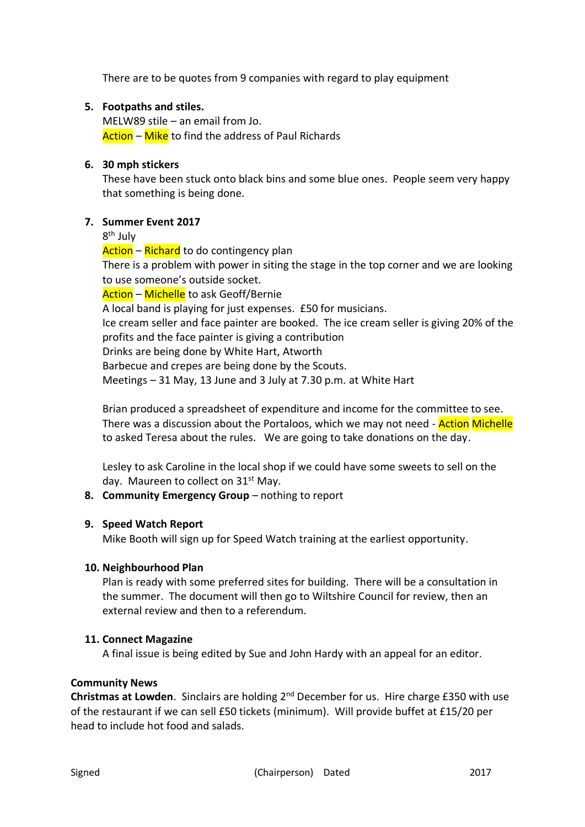There are to be quotes from 9 companies with regard to play equipment

### **5. Footpaths and stiles.**

MELW89 stile – an email from Jo. Action – Mike to find the address of Paul Richards

### **6. 30 mph stickers**

These have been stuck onto black bins and some blue ones. People seem very happy that something is being done.

### **7. Summer Event 2017**

8<sup>th</sup> July

Action – Richard to do contingency plan There is a problem with power in siting the stage in the top corner and we are looking to use someone's outside socket. Action – Michelle to ask Geoff/Bernie

A local band is playing for just expenses. £50 for musicians. Ice cream seller and face painter are booked. The ice cream seller is giving 20% of the profits and the face painter is giving a contribution Drinks are being done by White Hart, Atworth Barbecue and crepes are being done by the Scouts.

Meetings – 31 May, 13 June and 3 July at 7.30 p.m. at White Hart

Brian produced a spreadsheet of expenditure and income for the committee to see. There was a discussion about the Portaloos, which we may not need - **Action Michelle** to asked Teresa about the rules. We are going to take donations on the day.

Lesley to ask Caroline in the local shop if we could have some sweets to sell on the day. Maureen to collect on 31<sup>st</sup> May.

# **8. Community Emergency Group** – nothing to report

# **9. Speed Watch Report**

Mike Booth will sign up for Speed Watch training at the earliest opportunity.

### **10. Neighbourhood Plan**

Plan is ready with some preferred sites for building. There will be a consultation in the summer. The document will then go to Wiltshire Council for review, then an external review and then to a referendum.

### **11. Connect Magazine**

A final issue is being edited by Sue and John Hardy with an appeal for an editor.

### **Community News**

**Christmas at Lowden**. Sinclairs are holding 2nd December for us. Hire charge £350 with use of the restaurant if we can sell £50 tickets (minimum). Will provide buffet at £15/20 per head to include hot food and salads.